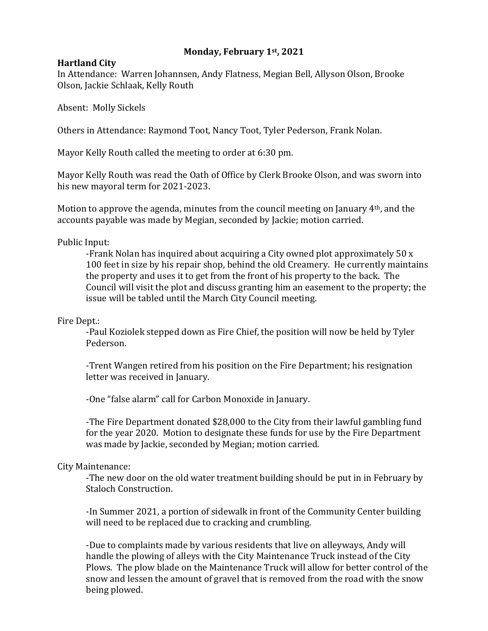# **Monday, February 1st, 2021**

### **Hartland City**

In Attendance: Warren Johannsen, Andy Flatness, Megian Bell, Allyson Olson, Brooke Olson, Jackie Schlaak, Kelly Routh

Absent: Molly Sickels

Others in Attendance: Raymond Toot, Nancy Toot, Tyler Pederson, Frank Nolan.

Mayor Kelly Routh called the meeting to order at 6:30 pm.

Mayor Kelly Routh was read the Oath of Office by Clerk Brooke Olson, and was sworn into his new mayoral term for 2021-2023.

Motion to approve the agenda, minutes from the council meeting on January 4th, and the accounts payable was made by Megian, seconded by Jackie; motion carried.

Public Input:

-Frank Nolan has inquired about acquiring a City owned plot approximately 50 x 100 feet in size by his repair shop, behind the old Creamery. He currently maintains the property and uses it to get from the front of his property to the back. The Council will visit the plot and discuss granting him an easement to the property; the issue will be tabled until the March City Council meeting.

Fire Dept.:

-Paul Koziolek stepped down as Fire Chief, the position will now be held by Tyler Pederson.

-Trent Wangen retired from his position on the Fire Department; his resignation letter was received in January.

-One "false alarm" call for Carbon Monoxide in January.

-The Fire Department donated \$28,000 to the City from their lawful gambling fund for the year 2020. Motion to designate these funds for use by the Fire Department was made by Jackie, seconded by Megian; motion carried.

# City Maintenance:

-The new door on the old water treatment building should be put in in February by Staloch Construction.

-In Summer 2021, a portion of sidewalk in front of the Community Center building will need to be replaced due to cracking and crumbling.

-Due to complaints made by various residents that live on alleyways, Andy will handle the plowing of alleys with the City Maintenance Truck instead of the City Plows. The plow blade on the Maintenance Truck will allow for better control of the snow and lessen the amount of gravel that is removed from the road with the snow being plowed.